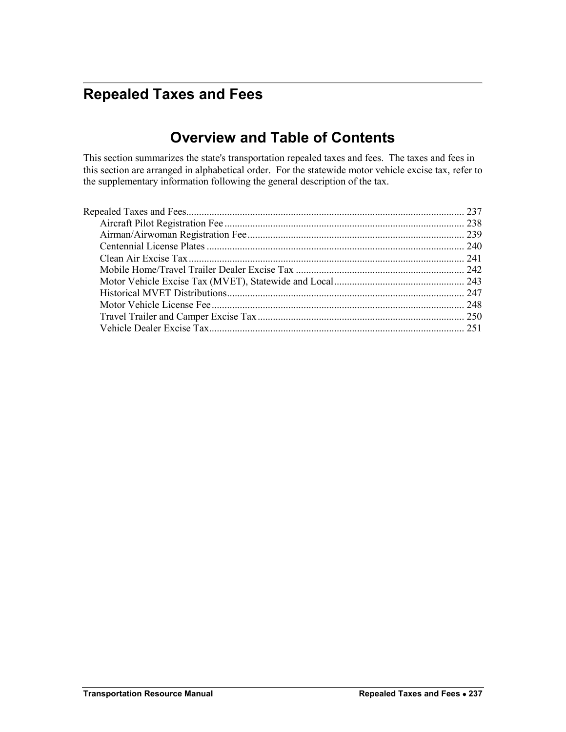# <span id="page-0-0"></span>**Repealed Taxes and Fees**

## **Overview and Table of Contents**

This section summarizes the state's transportation repealed taxes and fees. The taxes and fees in this section are arranged in alphabetical order. For the statewide motor vehicle excise tax, refer to the supplementary information following the general description of the tax.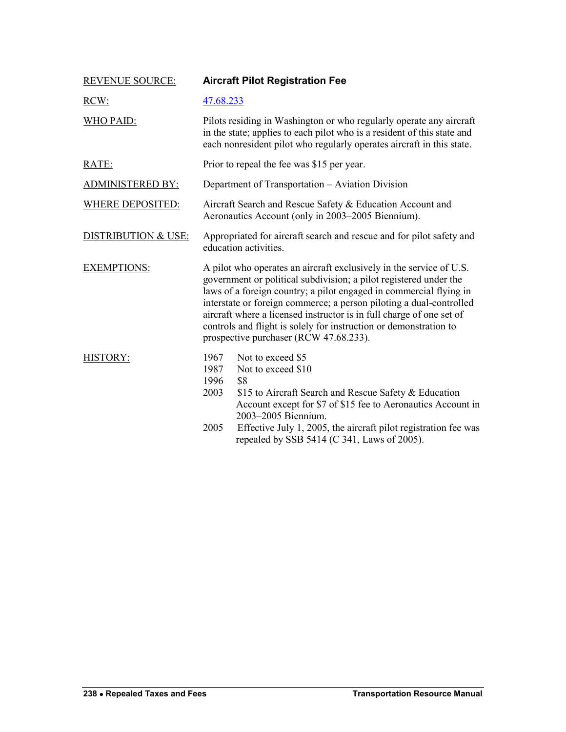<span id="page-1-0"></span>

| <b>REVENUE SOURCE:</b>         | <b>Aircraft Pilot Registration Fee</b>                                                                                                                                                                                                                                                                                                                                                                                                                                       |
|--------------------------------|------------------------------------------------------------------------------------------------------------------------------------------------------------------------------------------------------------------------------------------------------------------------------------------------------------------------------------------------------------------------------------------------------------------------------------------------------------------------------|
| RCW:                           | 47.68.233                                                                                                                                                                                                                                                                                                                                                                                                                                                                    |
| <b>WHO PAID:</b>               | Pilots residing in Washington or who regularly operate any aircraft<br>in the state; applies to each pilot who is a resident of this state and<br>each nonresident pilot who regularly operates aircraft in this state.                                                                                                                                                                                                                                                      |
| RATE:                          | Prior to repeal the fee was \$15 per year.                                                                                                                                                                                                                                                                                                                                                                                                                                   |
| <b>ADMINISTERED BY:</b>        | Department of Transportation - Aviation Division                                                                                                                                                                                                                                                                                                                                                                                                                             |
| <b>WHERE DEPOSITED:</b>        | Aircraft Search and Rescue Safety & Education Account and<br>Aeronautics Account (only in 2003–2005 Biennium).                                                                                                                                                                                                                                                                                                                                                               |
| <b>DISTRIBUTION &amp; USE:</b> | Appropriated for aircraft search and rescue and for pilot safety and<br>education activities.                                                                                                                                                                                                                                                                                                                                                                                |
| <b>EXEMPTIONS:</b>             | A pilot who operates an aircraft exclusively in the service of U.S.<br>government or political subdivision; a pilot registered under the<br>laws of a foreign country; a pilot engaged in commercial flying in<br>interstate or foreign commerce; a person piloting a dual-controlled<br>aircraft where a licensed instructor is in full charge of one set of<br>controls and flight is solely for instruction or demonstration to<br>prospective purchaser (RCW 47.68.233). |
| <b>HISTORY:</b>                | Not to exceed \$5<br>1967<br>1987<br>Not to exceed \$10<br>1996<br>\$8<br>2003<br>\$15 to Aircraft Search and Rescue Safety & Education<br>Account except for \$7 of \$15 fee to Aeronautics Account in<br>2003-2005 Biennium.<br>2005<br>Effective July 1, 2005, the aircraft pilot registration fee was<br>repealed by SSB 5414 (C 341, Laws of 2005).                                                                                                                     |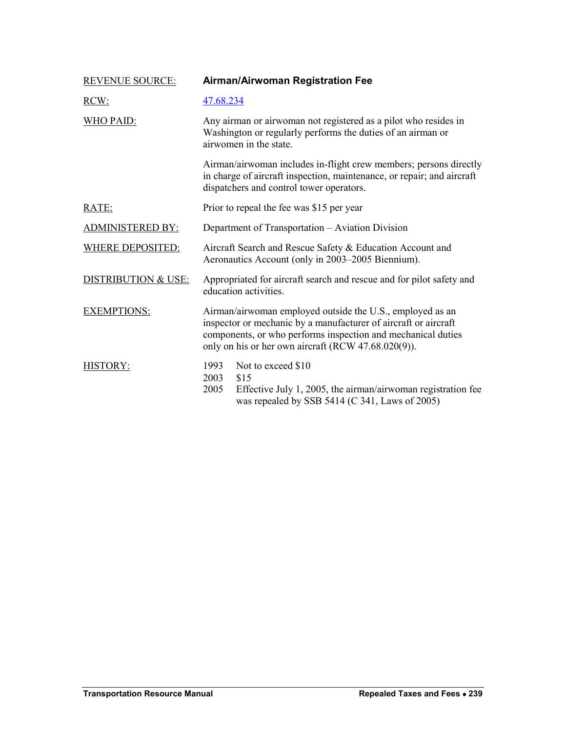<span id="page-2-0"></span>

| <b>REVENUE SOURCE:</b>  | Airman/Airwoman Registration Fee                                                                                                                                                                                                                    |
|-------------------------|-----------------------------------------------------------------------------------------------------------------------------------------------------------------------------------------------------------------------------------------------------|
| RCW:                    | 47.68.234                                                                                                                                                                                                                                           |
| <b>WHO PAID:</b>        | Any airman or airwoman not registered as a pilot who resides in<br>Washington or regularly performs the duties of an airman or<br>airwomen in the state.                                                                                            |
|                         | Airman/airwoman includes in-flight crew members; persons directly<br>in charge of aircraft inspection, maintenance, or repair; and aircraft<br>dispatchers and control tower operators.                                                             |
| RATE:                   | Prior to repeal the fee was \$15 per year                                                                                                                                                                                                           |
| <b>ADMINISTERED BY:</b> | Department of Transportation - Aviation Division                                                                                                                                                                                                    |
| <b>WHERE DEPOSITED:</b> | Aircraft Search and Rescue Safety & Education Account and<br>Aeronautics Account (only in 2003–2005 Biennium).                                                                                                                                      |
| DISTRIBUTION & USE:     | Appropriated for aircraft search and rescue and for pilot safety and<br>education activities.                                                                                                                                                       |
| <b>EXEMPTIONS:</b>      | Airman/airwoman employed outside the U.S., employed as an<br>inspector or mechanic by a manufacturer of aircraft or aircraft<br>components, or who performs inspection and mechanical duties<br>only on his or her own aircraft (RCW 47.68.020(9)). |
| HISTORY:                | 1993<br>Not to exceed \$10<br>2003<br>\$15<br>Effective July 1, 2005, the airman/airwoman registration fee<br>2005<br>was repealed by SSB 5414 (C 341, Laws of 2005)                                                                                |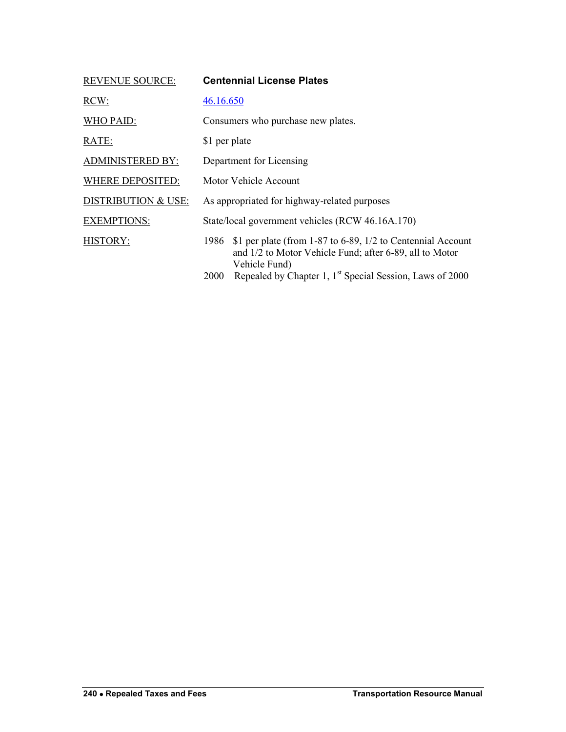<span id="page-3-0"></span>

| <b>REVENUE SOURCE:</b>         | <b>Centennial License Plates</b>                                                                                                                |
|--------------------------------|-------------------------------------------------------------------------------------------------------------------------------------------------|
| RCW:                           | 46.16.650                                                                                                                                       |
| WHO PAID:                      | Consumers who purchase new plates.                                                                                                              |
| RATE:                          | \$1 per plate                                                                                                                                   |
| <b>ADMINISTERED BY:</b>        | Department for Licensing                                                                                                                        |
| <b>WHERE DEPOSITED:</b>        | Motor Vehicle Account                                                                                                                           |
| <b>DISTRIBUTION &amp; USE:</b> | As appropriated for highway-related purposes                                                                                                    |
| <b>EXEMPTIONS:</b>             | State/local government vehicles (RCW 46.16A.170)                                                                                                |
| <b>HISTORY:</b>                | \$1 per plate (from 1-87 to 6-89, 1/2 to Centennial Account<br>1986<br>and 1/2 to Motor Vehicle Fund; after 6-89, all to Motor<br>Vehicle Fund) |
|                                | Repealed by Chapter 1, 1 <sup>st</sup> Special Session, Laws of 2000<br>2000                                                                    |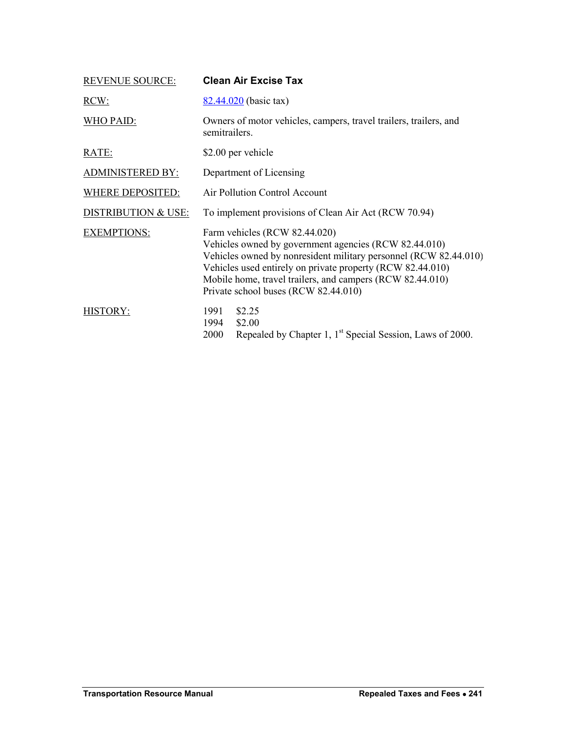<span id="page-4-0"></span>

| <b>REVENUE SOURCE:</b>         | <b>Clean Air Excise Tax</b>                                                                                                                                                                                                                                                                                                   |  |
|--------------------------------|-------------------------------------------------------------------------------------------------------------------------------------------------------------------------------------------------------------------------------------------------------------------------------------------------------------------------------|--|
| RCW:                           | $82.44.020$ (basic tax)                                                                                                                                                                                                                                                                                                       |  |
| WHO PAID:                      | Owners of motor vehicles, campers, travel trailers, trailers, and<br>semitrailers.                                                                                                                                                                                                                                            |  |
| RATE:                          | \$2.00 per vehicle                                                                                                                                                                                                                                                                                                            |  |
| <b>ADMINISTERED BY:</b>        | Department of Licensing                                                                                                                                                                                                                                                                                                       |  |
| <b>WHERE DEPOSITED:</b>        | Air Pollution Control Account                                                                                                                                                                                                                                                                                                 |  |
| <b>DISTRIBUTION &amp; USE:</b> | To implement provisions of Clean Air Act (RCW 70.94)                                                                                                                                                                                                                                                                          |  |
| <b>EXEMPTIONS:</b>             | Farm vehicles (RCW 82.44.020)<br>Vehicles owned by government agencies (RCW 82.44.010)<br>Vehicles owned by nonresident military personnel (RCW 82.44.010)<br>Vehicles used entirely on private property (RCW 82.44.010)<br>Mobile home, travel trailers, and campers (RCW 82.44.010)<br>Private school buses (RCW 82.44.010) |  |
| HISTORY:                       | 1991<br>\$2.25<br>\$2.00<br>1994<br>Repealed by Chapter 1, 1 <sup>st</sup> Special Session, Laws of 2000.<br>2000                                                                                                                                                                                                             |  |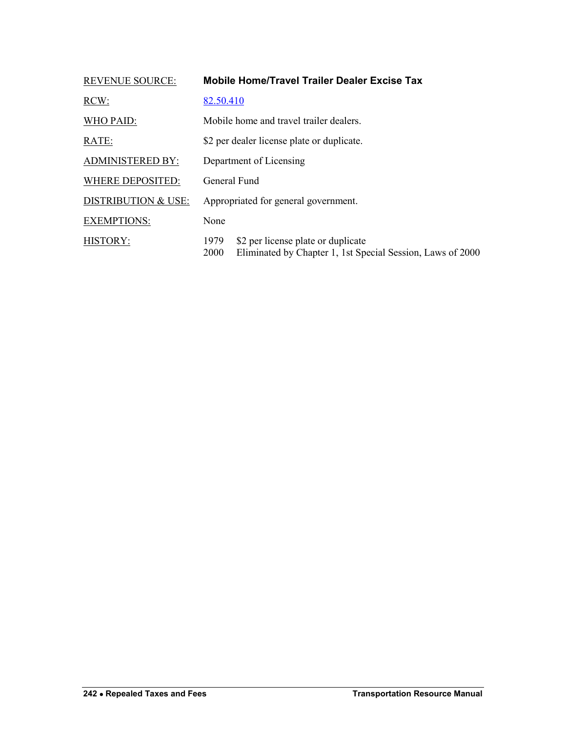<span id="page-5-0"></span>

| <b>REVENUE SOURCE:</b>         | <b>Mobile Home/Travel Trailer Dealer Excise Tax</b>                                                              |
|--------------------------------|------------------------------------------------------------------------------------------------------------------|
| RCW:                           | 82.50.410                                                                                                        |
| WHO PAID:                      | Mobile home and travel trailer dealers.                                                                          |
| RATE:                          | \$2 per dealer license plate or duplicate.                                                                       |
| <b>ADMINISTERED BY:</b>        | Department of Licensing                                                                                          |
| <b>WHERE DEPOSITED:</b>        | General Fund                                                                                                     |
| <b>DISTRIBUTION &amp; USE:</b> | Appropriated for general government.                                                                             |
| <b>EXEMPTIONS:</b>             | None                                                                                                             |
| HISTORY:                       | \$2 per license plate or duplicate<br>1979<br>Eliminated by Chapter 1, 1st Special Session, Laws of 2000<br>2000 |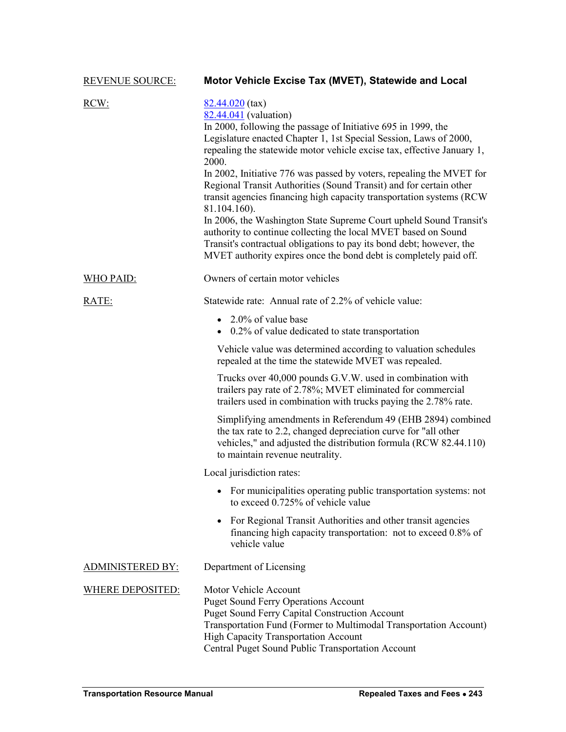<span id="page-6-0"></span>

| <b>REVENUE SOURCE:</b>  | Motor Vehicle Excise Tax (MVET), Statewide and Local                                                                                                                                                                                                                                                                                                                                                                                                                                                                                                                                                                                                                                                                                                                                            |
|-------------------------|-------------------------------------------------------------------------------------------------------------------------------------------------------------------------------------------------------------------------------------------------------------------------------------------------------------------------------------------------------------------------------------------------------------------------------------------------------------------------------------------------------------------------------------------------------------------------------------------------------------------------------------------------------------------------------------------------------------------------------------------------------------------------------------------------|
| RCW:                    | $82.44.020$ (tax)<br>82.44.041 (valuation)<br>In 2000, following the passage of Initiative 695 in 1999, the<br>Legislature enacted Chapter 1, 1st Special Session, Laws of 2000,<br>repealing the statewide motor vehicle excise tax, effective January 1,<br>2000.<br>In 2002, Initiative 776 was passed by voters, repealing the MVET for<br>Regional Transit Authorities (Sound Transit) and for certain other<br>transit agencies financing high capacity transportation systems (RCW)<br>81.104.160).<br>In 2006, the Washington State Supreme Court upheld Sound Transit's<br>authority to continue collecting the local MVET based on Sound<br>Transit's contractual obligations to pay its bond debt; however, the<br>MVET authority expires once the bond debt is completely paid off. |
| <u>WHO PAID:</u>        | Owners of certain motor vehicles                                                                                                                                                                                                                                                                                                                                                                                                                                                                                                                                                                                                                                                                                                                                                                |
| RATE:                   | Statewide rate: Annual rate of 2.2% of vehicle value:                                                                                                                                                                                                                                                                                                                                                                                                                                                                                                                                                                                                                                                                                                                                           |
|                         | • 2.0% of value base<br>$\bullet$ 0.2% of value dedicated to state transportation                                                                                                                                                                                                                                                                                                                                                                                                                                                                                                                                                                                                                                                                                                               |
|                         | Vehicle value was determined according to valuation schedules<br>repealed at the time the statewide MVET was repealed.                                                                                                                                                                                                                                                                                                                                                                                                                                                                                                                                                                                                                                                                          |
|                         | Trucks over 40,000 pounds G.V.W. used in combination with<br>trailers pay rate of 2.78%; MVET eliminated for commercial<br>trailers used in combination with trucks paying the 2.78% rate.                                                                                                                                                                                                                                                                                                                                                                                                                                                                                                                                                                                                      |
|                         | Simplifying amendments in Referendum 49 (EHB 2894) combined<br>the tax rate to 2.2, changed depreciation curve for "all other<br>vehicles," and adjusted the distribution formula (RCW 82.44.110)<br>to maintain revenue neutrality.                                                                                                                                                                                                                                                                                                                                                                                                                                                                                                                                                            |
|                         | Local jurisdiction rates:                                                                                                                                                                                                                                                                                                                                                                                                                                                                                                                                                                                                                                                                                                                                                                       |
|                         | For municipalities operating public transportation systems: not<br>to exceed 0.725% of vehicle value                                                                                                                                                                                                                                                                                                                                                                                                                                                                                                                                                                                                                                                                                            |
|                         | For Regional Transit Authorities and other transit agencies<br>financing high capacity transportation: not to exceed 0.8% of<br>vehicle value                                                                                                                                                                                                                                                                                                                                                                                                                                                                                                                                                                                                                                                   |
| <b>ADMINISTERED BY:</b> | Department of Licensing                                                                                                                                                                                                                                                                                                                                                                                                                                                                                                                                                                                                                                                                                                                                                                         |
| <b>WHERE DEPOSITED:</b> | Motor Vehicle Account<br><b>Puget Sound Ferry Operations Account</b><br><b>Puget Sound Ferry Capital Construction Account</b><br>Transportation Fund (Former to Multimodal Transportation Account)<br><b>High Capacity Transportation Account</b><br>Central Puget Sound Public Transportation Account                                                                                                                                                                                                                                                                                                                                                                                                                                                                                          |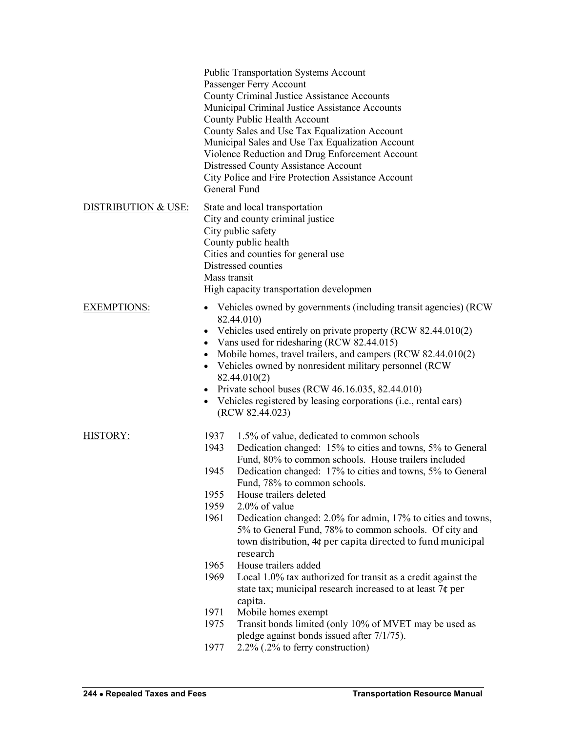|                     | <b>Public Transportation Systems Account</b><br>Passenger Ferry Account<br>County Criminal Justice Assistance Accounts<br>Municipal Criminal Justice Assistance Accounts<br>County Public Health Account<br>County Sales and Use Tax Equalization Account<br>Municipal Sales and Use Tax Equalization Account<br>Violence Reduction and Drug Enforcement Account<br>Distressed County Assistance Account<br>City Police and Fire Protection Assistance Account<br>General Fund                                                                                                                                                                                                                                                                                                                                                                                                                                                                 |
|---------------------|------------------------------------------------------------------------------------------------------------------------------------------------------------------------------------------------------------------------------------------------------------------------------------------------------------------------------------------------------------------------------------------------------------------------------------------------------------------------------------------------------------------------------------------------------------------------------------------------------------------------------------------------------------------------------------------------------------------------------------------------------------------------------------------------------------------------------------------------------------------------------------------------------------------------------------------------|
| DISTRIBUTION & USE: | State and local transportation<br>City and county criminal justice<br>City public safety<br>County public health<br>Cities and counties for general use<br>Distressed counties<br>Mass transit<br>High capacity transportation developmen                                                                                                                                                                                                                                                                                                                                                                                                                                                                                                                                                                                                                                                                                                      |
| <b>EXEMPTIONS:</b>  | Vehicles owned by governments (including transit agencies) (RCW)<br>$\bullet$<br>82.44.010)<br>Vehicles used entirely on private property (RCW 82.44.010(2)<br>$\bullet$<br>Vans used for ridesharing (RCW 82.44.015)<br>$\bullet$<br>Mobile homes, travel trailers, and campers (RCW 82.44.010(2)<br>Vehicles owned by nonresident military personnel (RCW)<br>$\bullet$<br>82.44.010(2)<br>Private school buses (RCW 46.16.035, 82.44.010)<br>$\bullet$<br>Vehicles registered by leasing corporations (i.e., rental cars)<br>$\bullet$<br>(RCW 82.44.023)                                                                                                                                                                                                                                                                                                                                                                                   |
| <b>HISTORY:</b>     | 1937<br>1.5% of value, dedicated to common schools<br>1943<br>Dedication changed: 15% to cities and towns, 5% to General<br>Fund, 80% to common schools. House trailers included<br>1945<br>Dedication changed: 17% to cities and towns, 5% to General<br>Fund, 78% to common schools.<br>1955<br>House trailers deleted<br>1959<br>$2.0\%$ of value<br>1961<br>Dedication changed: 2.0% for admin, 17% to cities and towns,<br>5% to General Fund, 78% to common schools. Of city and<br>town distribution, 4¢ per capita directed to fund municipal<br>research<br>House trailers added<br>1965<br>1969<br>Local 1.0% tax authorized for transit as a credit against the<br>state tax; municipal research increased to at least 7¢ per<br>capita.<br>1971<br>Mobile homes exempt<br>1975<br>Transit bonds limited (only 10% of MVET may be used as<br>pledge against bonds issued after 7/1/75).<br>1977<br>2.2% (.2% to ferry construction) |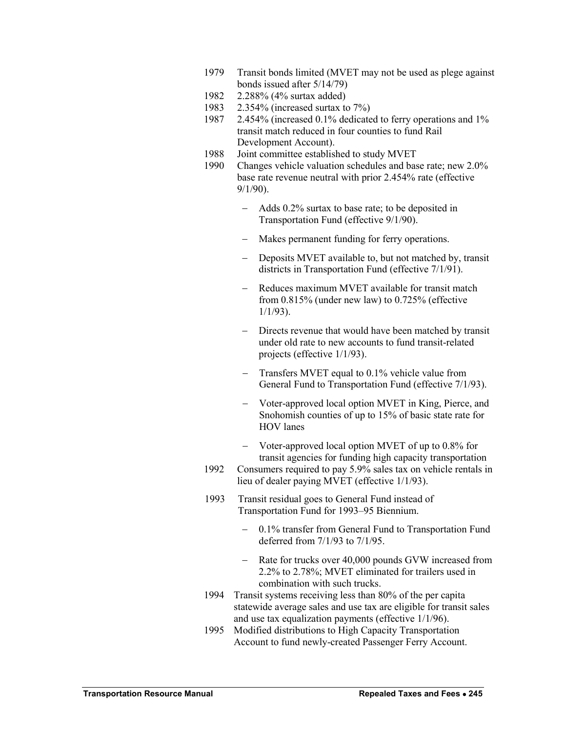- 1979 Transit bonds limited (MVET may not be used as plege against bonds issued after 5/14/79)
- 1982 2.288% (4% surtax added)
- 1983 2.354% (increased surtax to 7%)
- 1987 2.454% (increased 0.1% dedicated to ferry operations and 1% transit match reduced in four counties to fund Rail Development Account).
- 1988 Joint committee established to study MVET
- 1990 Changes vehicle valuation schedules and base rate; new 2.0% base rate revenue neutral with prior 2.454% rate (effective 9/1/90).
	- Adds 0.2% surtax to base rate; to be deposited in Transportation Fund (effective 9/1/90).
	- Makes permanent funding for ferry operations.
	- Deposits MVET available to, but not matched by, transit districts in Transportation Fund (effective 7/1/91).
	- Reduces maximum MVET available for transit match from 0.815% (under new law) to 0.725% (effective 1/1/93).
	- Directs revenue that would have been matched by transit under old rate to new accounts to fund transit-related projects (effective 1/1/93).
	- Transfers MVET equal to 0.1% vehicle value from General Fund to Transportation Fund (effective 7/1/93).
	- Voter-approved local option MVET in King, Pierce, and Snohomish counties of up to 15% of basic state rate for HOV lanes
	- Voter-approved local option MVET of up to 0.8% for transit agencies for funding high capacity transportation
- 1992 Consumers required to pay 5.9% sales tax on vehicle rentals in lieu of dealer paying MVET (effective 1/1/93).
- 1993 Transit residual goes to General Fund instead of Transportation Fund for 1993–95 Biennium.
	- 0.1% transfer from General Fund to Transportation Fund deferred from 7/1/93 to 7/1/95.
	- Rate for trucks over 40,000 pounds GVW increased from 2.2% to 2.78%; MVET eliminated for trailers used in combination with such trucks.
- 1994 Transit systems receiving less than 80% of the per capita statewide average sales and use tax are eligible for transit sales and use tax equalization payments (effective 1/1/96).
- 1995 Modified distributions to High Capacity Transportation Account to fund newly-created Passenger Ferry Account.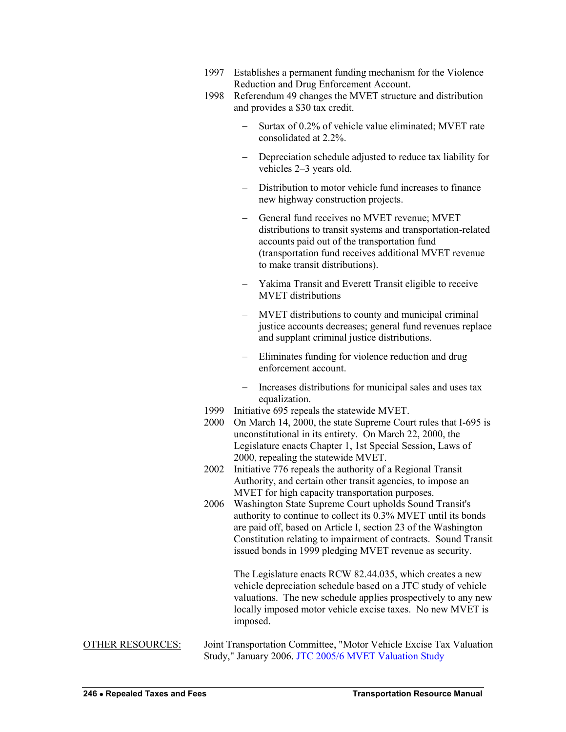- 1997 Establishes a permanent funding mechanism for the Violence Reduction and Drug Enforcement Account.
- 1998 Referendum 49 changes the MVET structure and distribution and provides a \$30 tax credit.
	- Surtax of 0.2% of vehicle value eliminated; MVET rate consolidated at 2.2%.
	- Depreciation schedule adjusted to reduce tax liability for vehicles 2–3 years old.
	- Distribution to motor vehicle fund increases to finance new highway construction projects.
	- General fund receives no MVET revenue; MVET distributions to transit systems and transportation-related accounts paid out of the transportation fund (transportation fund receives additional MVET revenue to make transit distributions).
	- Yakima Transit and Everett Transit eligible to receive MVET distributions
	- MVET distributions to county and municipal criminal justice accounts decreases; general fund revenues replace and supplant criminal justice distributions.
	- Eliminates funding for violence reduction and drug enforcement account.
	- Increases distributions for municipal sales and uses tax equalization.
- 1999 Initiative 695 repeals the statewide MVET.
- 2000 On March 14, 2000, the state Supreme Court rules that I-695 is unconstitutional in its entirety. On March 22, 2000, the Legislature enacts Chapter 1, 1st Special Session, Laws of 2000, repealing the statewide MVET.
- 2002 Initiative 776 repeals the authority of a Regional Transit Authority, and certain other transit agencies, to impose an MVET for high capacity transportation purposes.
- 2006 Washington State Supreme Court upholds Sound Transit's authority to continue to collect its 0.3% MVET until its bonds are paid off, based on Article I, section 23 of the Washington Constitution relating to impairment of contracts. Sound Transit issued bonds in 1999 pledging MVET revenue as security.

The Legislature enacts RCW 82.44.035, which creates a new vehicle depreciation schedule based on a JTC study of vehicle valuations. The new schedule applies prospectively to any new locally imposed motor vehicle excise taxes. No new MVET is imposed.

OTHER RESOURCES: Joint Transportation Committee, "Motor Vehicle Excise Tax Valuation Study," January 2006[. JTC 2005/6 MVET Valuation Study](http://www.leg.wa.gov/JTC/Documents/MVETStudy.pdf)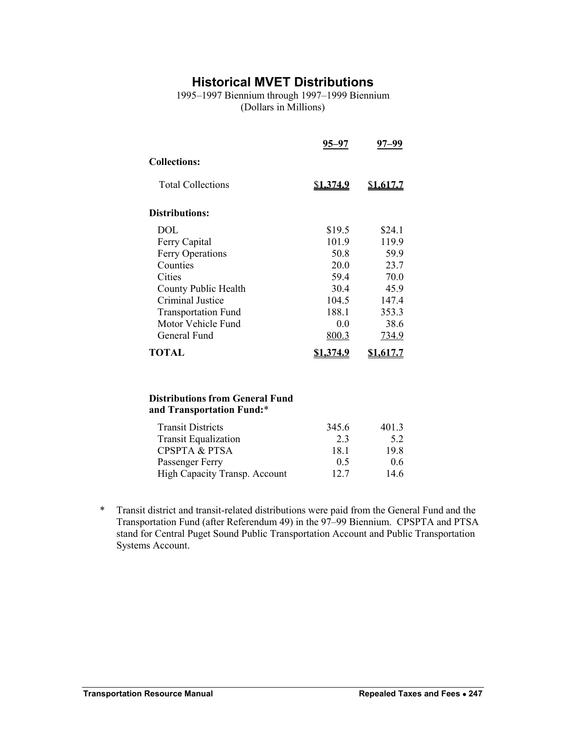### **Historical MVET Distributions**

<span id="page-10-0"></span>1995–1997 Biennium through 1997–1999 Biennium (Dollars in Millions)

|                            | 95–97             | 97–99     |
|----------------------------|-------------------|-----------|
| <b>Collections:</b>        |                   |           |
| <b>Total Collections</b>   | \$ <u>1,374.9</u> | \$1,617.7 |
| <b>Distributions:</b>      |                   |           |
| DOL.                       | \$19.5            | \$24.1    |
| Ferry Capital              | 101.9             | 119.9     |
| <b>Ferry Operations</b>    | 50.8              | 59.9      |
| Counties                   | 20.0              | 23.7      |
| Cities                     | 59.4              | 70.0      |
| County Public Health       | 30.4              | 45.9      |
| <b>Criminal Justice</b>    | 104.5             | 147.4     |
| <b>Transportation Fund</b> | 188.1             | 353.3     |
| Motor Vehicle Fund         | 0.0               | 38.6      |
| General Fund               | 800.3             | 734.9     |
| <b>TOTAL</b>               |                   |           |

#### **Distributions from General Fund and Transportation Fund:**\*

| <b>Transit Districts</b>      | 345.6 | 401.3 |
|-------------------------------|-------|-------|
| <b>Transit Equalization</b>   | 23    | 5.2   |
| <b>CPSPTA &amp; PTSA</b>      | 181   | 19.8  |
| Passenger Ferry               | 0.5   | 0.6   |
| High Capacity Transp. Account | 12.7  | 14.6  |

\* Transit district and transit-related distributions were paid from the General Fund and the Transportation Fund (after Referendum 49) in the 97–99 Biennium. CPSPTA and PTSA stand for Central Puget Sound Public Transportation Account and Public Transportation Systems Account.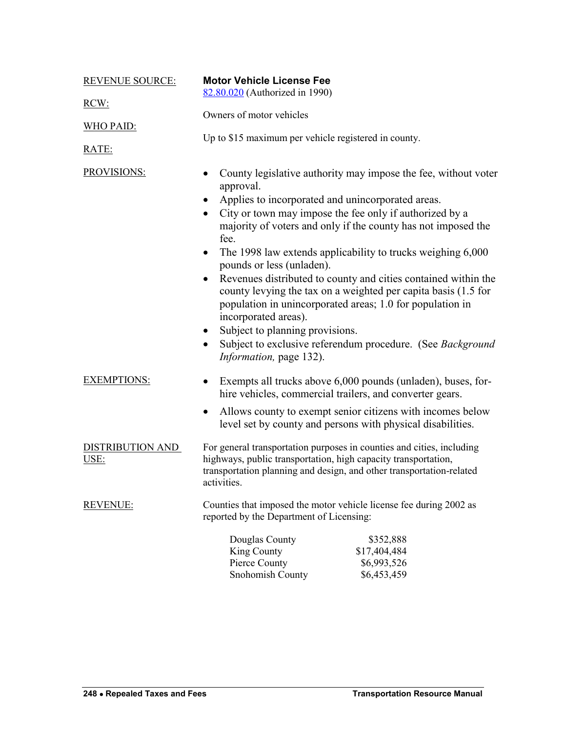<span id="page-11-0"></span>

| <b>REVENUE SOURCE:</b>          | <b>Motor Vehicle License Fee</b><br>82.80.020 (Authorized in 1990)                                                                                                                                                                                                                                                     |
|---------------------------------|------------------------------------------------------------------------------------------------------------------------------------------------------------------------------------------------------------------------------------------------------------------------------------------------------------------------|
| RCW:                            |                                                                                                                                                                                                                                                                                                                        |
| WHO PAID:                       | Owners of motor vehicles                                                                                                                                                                                                                                                                                               |
| RATE:                           | Up to \$15 maximum per vehicle registered in county.                                                                                                                                                                                                                                                                   |
| <b>PROVISIONS:</b>              | County legislative authority may impose the fee, without voter<br>approval.                                                                                                                                                                                                                                            |
|                                 | Applies to incorporated and unincorporated areas.<br>City or town may impose the fee only if authorized by a<br>$\bullet$<br>majority of voters and only if the county has not imposed the<br>fee.                                                                                                                     |
|                                 | The 1998 law extends applicability to trucks weighing 6,000<br>$\bullet$<br>pounds or less (unladen).                                                                                                                                                                                                                  |
|                                 | Revenues distributed to county and cities contained within the<br>county levying the tax on a weighted per capita basis (1.5 for<br>population in unincorporated areas; 1.0 for population in<br>incorporated areas).<br>Subject to planning provisions.<br>Subject to exclusive referendum procedure. (See Background |
|                                 | Information, page 132).                                                                                                                                                                                                                                                                                                |
| <b>EXEMPTIONS:</b>              | Exempts all trucks above 6,000 pounds (unladen), buses, for-<br>hire vehicles, commercial trailers, and converter gears.                                                                                                                                                                                               |
|                                 | Allows county to exempt senior citizens with incomes below<br>level set by county and persons with physical disabilities.                                                                                                                                                                                              |
| <b>DISTRIBUTION AND</b><br>USE: | For general transportation purposes in counties and cities, including<br>highways, public transportation, high capacity transportation,<br>transportation planning and design, and other transportation-related<br>activities.                                                                                         |
| <b>REVENUE:</b>                 | Counties that imposed the motor vehicle license fee during 2002 as<br>reported by the Department of Licensing:                                                                                                                                                                                                         |
|                                 | Douglas County<br>\$352,888<br>King County<br>\$17,404,484<br>Pierce County<br>\$6,993,526<br>Snohomish County<br>\$6,453,459                                                                                                                                                                                          |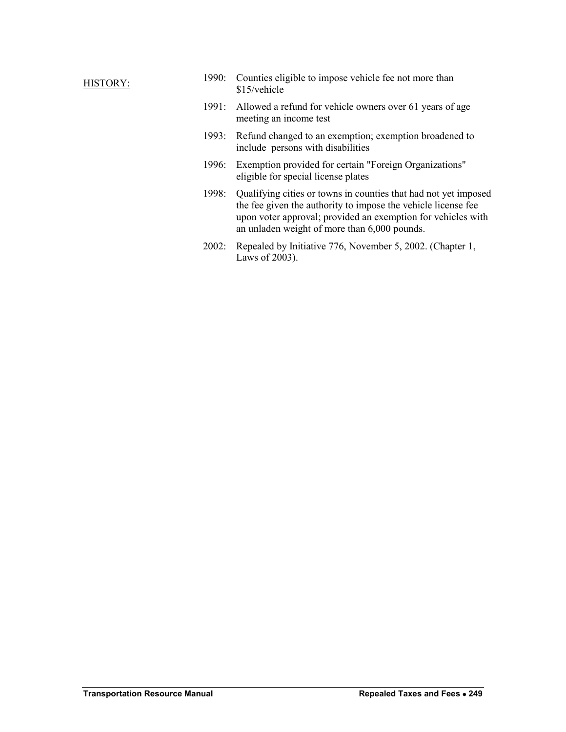### HISTORY:

| 1990: Counties eligible to impose vehicle fee not more than |
|-------------------------------------------------------------|
| \$15/vehicle                                                |

- 1991: Allowed a refund for vehicle owners over 61 years of age meeting an income test
- 1993: Refund changed to an exemption; exemption broadened to include persons with disabilities
- 1996: Exemption provided for certain "Foreign Organizations" eligible for special license plates
- 1998: Qualifying cities or towns in counties that had not yet imposed the fee given the authority to impose the vehicle license fee upon voter approval; provided an exemption for vehicles with an unladen weight of more than 6,000 pounds.
- 2002: Repealed by Initiative 776, November 5, 2002. (Chapter 1, Laws of 2003).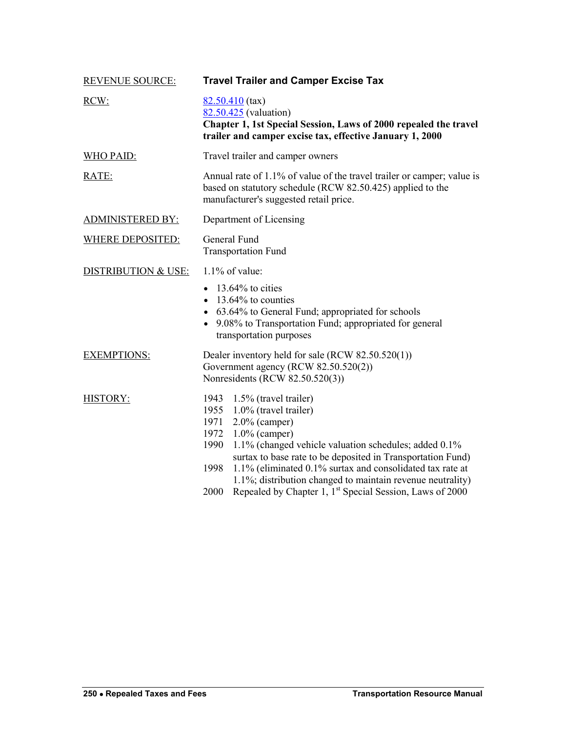<span id="page-13-0"></span>

| <b>REVENUE SOURCE:</b>         | <b>Travel Trailer and Camper Excise Tax</b>                                                                                                                                                                                                                                                                                                                                                                                                                               |
|--------------------------------|---------------------------------------------------------------------------------------------------------------------------------------------------------------------------------------------------------------------------------------------------------------------------------------------------------------------------------------------------------------------------------------------------------------------------------------------------------------------------|
| RCW:                           | $82.50.410$ (tax)<br>82.50.425 (valuation)<br>Chapter 1, 1st Special Session, Laws of 2000 repealed the travel<br>trailer and camper excise tax, effective January 1, 2000                                                                                                                                                                                                                                                                                                |
| <b>WHO PAID:</b>               | Travel trailer and camper owners                                                                                                                                                                                                                                                                                                                                                                                                                                          |
| RATE:                          | Annual rate of 1.1% of value of the travel trailer or camper; value is<br>based on statutory schedule (RCW 82.50.425) applied to the<br>manufacturer's suggested retail price.                                                                                                                                                                                                                                                                                            |
| <b>ADMINISTERED BY:</b>        | Department of Licensing                                                                                                                                                                                                                                                                                                                                                                                                                                                   |
| <b>WHERE DEPOSITED:</b>        | General Fund<br><b>Transportation Fund</b>                                                                                                                                                                                                                                                                                                                                                                                                                                |
| <b>DISTRIBUTION &amp; USE:</b> | $1.1\%$ of value:                                                                                                                                                                                                                                                                                                                                                                                                                                                         |
|                                | $\bullet$ 13.64% to cities<br>$\bullet$ 13.64% to counties<br>• 63.64% to General Fund; appropriated for schools<br>• 9.08% to Transportation Fund; appropriated for general<br>transportation purposes                                                                                                                                                                                                                                                                   |
| <b>EXEMPTIONS:</b>             | Dealer inventory held for sale (RCW 82.50.520(1))<br>Government agency (RCW 82.50.520(2))<br>Nonresidents (RCW 82.50.520(3))                                                                                                                                                                                                                                                                                                                                              |
| <b>HISTORY:</b>                | 1943<br>1.5% (travel trailer)<br>1.0% (travel trailer)<br>1955<br>1971<br>$2.0\%$ (camper)<br>1972<br>$1.0\%$ (camper)<br>1990<br>1.1% (changed vehicle valuation schedules; added 0.1%<br>surtax to base rate to be deposited in Transportation Fund)<br>1.1% (eliminated 0.1% surtax and consolidated tax rate at<br>1998<br>1.1%; distribution changed to maintain revenue neutrality)<br>Repealed by Chapter 1, 1 <sup>st</sup> Special Session, Laws of 2000<br>2000 |